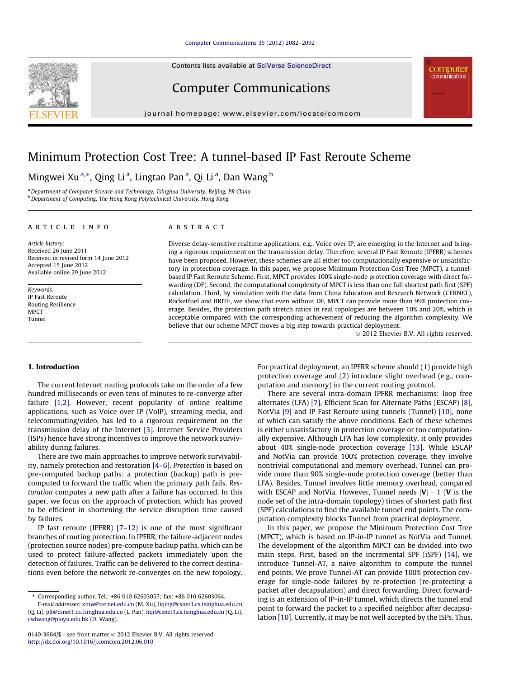# [Computer Communications 35 \(2012\) 2082–2092](http://dx.doi.org/10.1016/j.comcom.2012.06.010)

Contents lists available at [SciVerse ScienceDirect](http://www.sciencedirect.com/science/journal/01403664)

# Computer Communications

journal homepage: [www.elsevier.com/locate/comcom](http://www.elsevier.com/locate/comcom)

# Minimum Protection Cost Tree: A tunnel-based IP Fast Reroute Scheme

Mingwei Xu <sup>a,</sup>\*, Qing Li <sup>a</sup>, Lingtao Pan <sup>a</sup>, Qi Li <sup>a</sup>, Dan Wang <sup>b</sup>

<sup>a</sup> Department of Computer Science and Technology, Tsinghua University, Beijing, PR China b Department of Computing, The Hong Kong Polytechnical University, Hong Kong

# article info

Article history: Received 26 June 2011 Received in revised form 14 June 2012 Accepted 15 June 2012 Available online 29 June 2012

Keywords: IP Fast Reroute Routing Resilience MPCT Tunnel

# **ABSTRACT**

Diverse delay-sensitive realtime applications, e.g., Voice over IP, are emerging in the Internet and bringing a rigorous requirement on the transmission delay. Therefore, several IP Fast Reroute (IPFRR) schemes have been proposed. However, these schemes are all either too computationally expensive or unsatisfactory in protection coverage. In this paper, we propose Minimum Protection Cost Tree (MPCT), a tunnelbased IP Fast Reroute Scheme. First, MPCT provides 100% single-node protection coverage with direct forwarding (DF). Second, the computational complexity of MPCT is less than one full shortest path first (SPF) calculation. Third, by simulation with the data from China Education and Research Network (CERNET), Rocketfuel and BRITE, we show that even without DF, MPCT can provide more than 99% protection coverage. Besides, the protection path stretch ratios in real topologies are between 10% and 20%, which is acceptable compared with the corresponding achievement of reducing the algorithm complexity. We believe that our scheme MPCT moves a big step towards practical deployment.

- 2012 Elsevier B.V. All rights reserved.

computer communications

# 1. Introduction

The current Internet routing protocols take on the order of a few hundred milliseconds or even tens of minutes to re-converge after failure [\[1,2\]](#page-9-0). However, recent popularity of online realtime applications, such as Voice over IP (VoIP), streaming media, and telecommuting/video, has led to a rigorous requirement on the transmission delay of the Internet [\[3\]](#page-9-0). Internet Service Providers (ISPs) hence have strong incentives to improve the network survivability during failures.

There are two main approaches to improve network survivability, namely protection and restoration [\[4–6\].](#page-9-0) Protection is based on pre-computed backup paths: a protection (backup) path is precomputed to forward the traffic when the primary path fails. Restoration computes a new path after a failure has occurred. In this paper, we focus on the approach of protection, which has proved to be efficient in shortening the service disruption time caused by failures.

IP fast reroute (IPFRR) [\[7–12\]](#page-10-0) is one of the most significant branches of routing protection. In IPFRR, the failure-adjacent nodes (protection source nodes) pre-compute backup paths, which can be used to protect failure-affected packets immediately upon the detection of failures. Traffic can be delivered to the correct destinations even before the network re-converges on the new topology. For practical deployment, an IPFRR scheme should (1) provide high protection coverage and (2) introduce slight overhead (e.g., computation and memory) in the current routing protocol.

There are several intra-domain IPFRR mechanisms: loop free alternates (LFA) [\[7\]](#page-10-0), Efficient Scan for Alternate Paths (ESCAP) [\[8\],](#page-10-0) NotVia [\[9\]](#page-10-0) and IP Fast Reroute using tunnels (Tunnel) [\[10\],](#page-10-0) none of which can satisfy the above conditions. Each of these schemes is either unsatisfactory in protection coverage or too computationally expensive. Although LFA has low complexity, it only provides about 40% single-node protection coverage [\[13\].](#page-10-0) While ESCAP and NotVia can provide 100% protection coverage, they involve nontrivial computational and memory overhead. Tunnel can provide more than 90% single-node protection coverage (better than LFA). Besides, Tunnel involves little memory overhead, compared with ESCAP and NotVia. However, Tunnel needs  $|V| - 1$  (V is the node set of the intra-domain topology) times of shortest path first (SPF) calculations to find the available tunnel end points. The computation complexity blocks Tunnel from practical deployment.

In this paper, we propose the Minimum Protection Cost Tree (MPCT), which is based on IP-in-IP tunnel as NotVia and Tunnel. The development of the algorithm MPCT can be divided into two main steps. First, based on the incremental SPF (iSPF) [\[14\],](#page-10-0) we introduce Tunnel-AT, a naive algorithm to compute the tunnel end points. We prove Tunnel-AT can provide 100% protection coverage for single-node failures by re-protection (re-protecting a packet after decapsulation) and direct forwarding. Direct forwarding is an extension of IP-in-IP tunnel, which directs the tunnel end point to forward the packet to a specified neighbor after decapsulation [\[10\].](#page-10-0) Currently, it may be not well accepted by the ISPs. Thus,



<sup>⇑</sup> Corresponding author. Tel.: +86 010 62603057; fax: +86 010 62603064.

E-mail addresses: [xmw@cernet.edu.cn](mailto:xmw@cernet.edu.cn) (M. Xu), [liqing@csnet1.cs.tsinghua.edu.cn](mailto:liqing@csnet1.cs.tsinghua.edu.cn) (Q. Li), [plt@csnet1.cs.tsinghua.edu.cn](mailto:plt@csnet1.cs.tsinghua.edu.cn) (L. Pan), [liqi@csnet1.cs.tsinghua.edu.cn](mailto:liqi@csnet1.cs.tsinghua.edu.cn) (Q. Li), [csdwang@ployu.edu.hk](mailto:csdwang@ployu.edu.hk) (D. Wang).

<sup>0140-3664/\$ -</sup> see front matter © 2012 Elsevier B.V. All rights reserved. <http://dx.doi.org/10.1016/j.comcom.2012.06.010>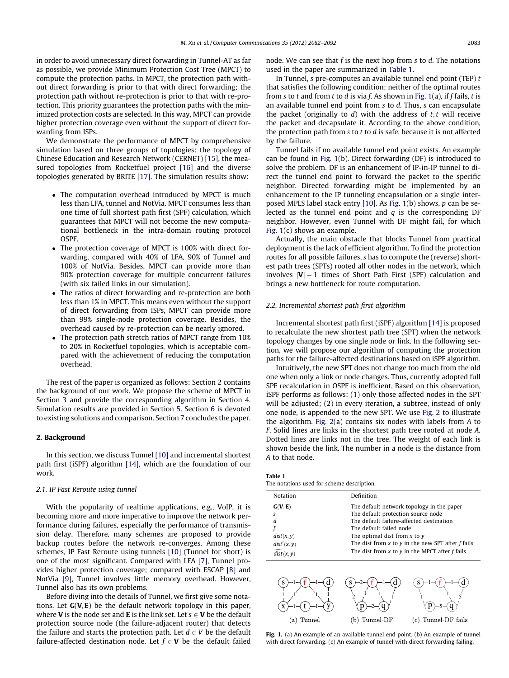<span id="page-1-0"></span>in order to avoid unnecessary direct forwarding in Tunnel-AT as far as possible, we provide Minimum Protection Cost Tree (MPCT) to compute the protection paths. In MPCT, the protection path without direct forwarding is prior to that with direct forwarding; the protection path without re-protection is prior to that with re-protection. This priority guarantees the protection paths with the minimized protection costs are selected. In this way, MPCT can provide higher protection coverage even without the support of direct forwarding from ISPs.

We demonstrate the performance of MPCT by comprehensive simulation based on three groups of topologies: the topology of Chinese Education and Research Network (CERNET) [\[15\]](#page-10-0), the measured topologies from Rocketfuel project [\[16\]](#page-10-0) and the diverse topologies generated by BRITE [\[17\]](#page-10-0). The simulation results show:

- The computation overhead introduced by MPCT is much less than LFA, tunnel and NotVia. MPCT consumes less than one time of full shortest path first (SPF) calculation, which guarantees that MPCT will not become the new computational bottleneck in the intra-domain routing protocol **OSPF.**
- The protection coverage of MPCT is 100% with direct forwarding, compared with 40% of LFA, 90% of Tunnel and 100% of NotVia. Besides, MPCT can provide more than 90% protection coverage for multiple concurrent failures (with six failed links in our simulation).
- The ratios of direct forwarding and re-protection are both less than 1% in MPCT. This means even without the support of direct forwarding from ISPs, MPCT can provide more than 99% single-node protection coverage. Besides, the overhead caused by re-protection can be nearly ignored.
- The protection path stretch ratios of MPCT range from 10% to 20% in Rocketfuel topologies, which is acceptable compared with the achievement of reducing the computation overhead.

The rest of the paper is organized as follows: Section 2 contains the background of our work. We propose the scheme of MPCT in Section [3](#page-2-0) and provide the corresponding algorithm in Section [4.](#page-5-0) Simulation results are provided in Section [5](#page-6-0). Section [6](#page-8-0) is devoted to existing solutions and comparison. Section [7](#page-9-0) concludes the paper.

# 2. Background

In this section, we discuss Tunnel [\[10\]](#page-10-0) and incremental shortest path first (iSPF) algorithm [\[14\]](#page-10-0), which are the foundation of our work.

## 2.1. IP Fast Reroute using tunnel

With the popularity of realtime applications, e.g., VoIP, it is becoming more and more imperative to improve the network performance during failures, especially the performance of transmission delay. Therefore, many schemes are proposed to provide backup routes before the network re-converges. Among these schemes, IP Fast Reroute using tunnels [\[10\]](#page-10-0) (Tunnel for short) is one of the most significant. Compared with LFA [\[7\],](#page-10-0) Tunnel provides higher protection coverage; compared with ESCAP [\[8\]](#page-10-0) and NotVia [\[9\],](#page-10-0) Tunnel involves little memory overhead. However, Tunnel also has its own problems.

Before diving into the details of Tunnel, we first give some notations. Let  $G(V, E)$  be the default network topology in this paper, where **V** is the node set and **E** is the link set. Let  $s \in V$  be the default protection source node (the failure-adjacent router) that detects the failure and starts the protection path. Let  $d \in V$  be the default failure-affected destination node. Let  $f \in V$  be the default failed node. We can see that f is the next hop from s to d. The notations used in the paper are summarized in Table 1.

In Tunnel,  $s$  pre-computes an available tunnel end point (TEP)  $t$ that satisfies the following condition: neither of the optimal routes from s to t and from t to d is via f. As shown in Fig. 1(a), if f fails, t is an available tunnel end point from  $s$  to  $d$ . Thus,  $s$  can encapsulate the packet (originally to  $d$ ) with the address of  $t$ ;  $t$  will receive the packet and decapsulate it. According to the above condition, the protection path from  $s$  to  $t$  to  $d$  is safe, because it is not affected by the failure.

Tunnel fails if no available tunnel end point exists. An example can be found in Fig. 1(b). Direct forwarding (DF) is introduced to solve the problem. DF is an enhancement of IP-in-IP tunnel to direct the tunnel end point to forward the packet to the specific neighbor. Directed forwarding might be implemented by an enhancement to the IP tunneling encapsulation or a single interposed MPLS label stack entry [\[10\].](#page-10-0) As Fig. 1(b) shows, p can be selected as the tunnel end point and  $q$  is the corresponding DF neighbor. However, even Tunnel with DF might fail, for which Fig. 1(c) shows an example.

Actually, the main obstacle that blocks Tunnel from practical deployment is the lack of efficient algorithm. To find the protection routes for all possible failures, s has to compute the (reverse) shortest path trees (SPTs) rooted all other nodes in the network, which involves  $|{\bm V}| - 1$  times of Short Path First (SPF) calculation and brings a new bottleneck for route computation.

## 2.2. Incremental shortest path first algorithm

Incremental shortest path first (iSPF) algorithm [\[14\]](#page-10-0) is proposed to recalculate the new shortest path tree (SPT) when the network topology changes by one single node or link. In the following section, we will propose our algorithm of computing the protection paths for the failure-affected destinations based on iSPF algorithm.

Intuitively, the new SPT does not change too much from the old one when only a link or node changes. Thus, currently adopted full SPF recalculation in OSPF is inefficient. Based on this observation, iSPF performs as follows: (1) only those affected nodes in the SPT will be adjusted; (2) in every iteration, a subtree, instead of only one node, is appended to the new SPT. We use [Fig. 2](#page-2-0) to illustrate the algorithm. [Fig. 2\(](#page-2-0)a) contains six nodes with labels from A to F. Solid lines are links in the shortest path tree rooted at node A. Dotted lines are links not in the tree. The weight of each link is shown beside the link. The number in a node is the distance from A to that node.

| Table 1 |                                            |  |  |  |
|---------|--------------------------------------------|--|--|--|
|         | The notations used for scheme description. |  |  |  |

| Notation    | Definition                                              |
|-------------|---------------------------------------------------------|
| G(V, E)     | The default network topology in the paper               |
| s           | The default protection source node                      |
| d           | The default failure-affected destination                |
|             | The default failed node                                 |
| dist(x, y)  | The optimal dist from $x$ to $y$                        |
| dist'(x, y) | The dist from $x$ to $y$ in the new SPT after $f$ fails |
| dist(x, y)  | The dist from $x$ to $y$ in the MPCT after $f$ fails    |





Fig. 1. (a) An example of an available tunnel end point. (b) An example of tunnel with direct forwarding. (c) An example of tunnel with direct forwarding failing.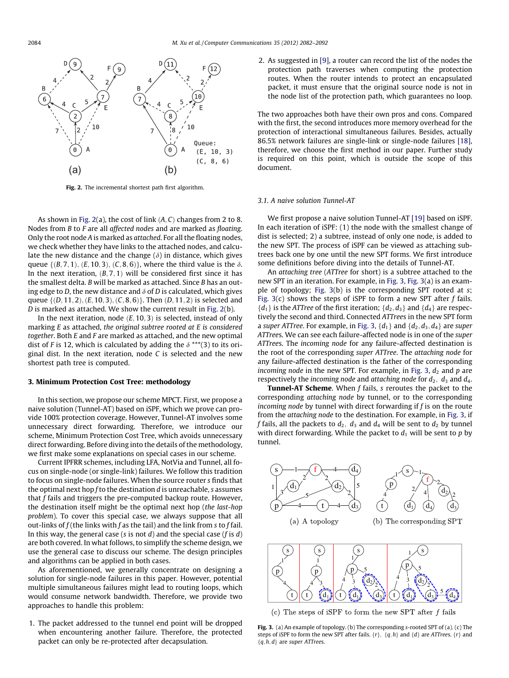<span id="page-2-0"></span>

Fig. 2. The incremental shortest path first algorithm.

As shown in Fig. 2(a), the cost of link  $(A, C)$  changes from 2 to 8. Nodes from B to F are all affected nodes and are marked as floating. Only the root node A is marked as attached. For all the floating nodes, we check whether they have links to the attached nodes, and calculate the new distance and the change  $(\delta)$  in distance, which gives queue { $(B, 7, 1)$ ,  $(E, 10, 3)$ ,  $(C, 8, 6)$ }, where the third value is the  $\delta$ . In the next iteration,  $(B, 7, 1)$  will be considered first since it has the smallest delta. B will be marked as attached. Since B has an outing edge to D, the new distance and  $\delta$  of D is calculated, which gives queue  $\{(D, 11, 2), (E, 10, 3), (C, 8, 6)\}\$ . Then  $(D, 11, 2)$  is selected and D is marked as attached. We show the current result in Fig. 2(b).

In the next iteration, node  $(E, 10, 3)$  is selected, instead of only marking E as attached, the original subtree rooted at E is considered together. Both E and F are marked as attached, and the new optimal dist of F is 12, which is calculated by adding the  $\delta$  \*\*\*(3) to its original dist. In the next iteration, node C is selected and the new shortest path tree is computed.

## 3. Minimum Protection Cost Tree: methodology

In this section, we propose our scheme MPCT. First, we propose a naive solution (Tunnel-AT) based on iSPF, which we prove can provide 100% protection coverage. However, Tunnel-AT involves some unnecessary direct forwarding. Therefore, we introduce our scheme, Minimum Protection Cost Tree, which avoids unnecessary direct forwarding. Before diving into the details of the methodology, we first make some explanations on special cases in our scheme.

Current IPFRR schemes, including LFA, NotVia and Tunnel, all focus on single-node (or single-link) failures. We follow this tradition to focus on single-node failures. When the source router s finds that the optimal next hop  $f$  to the destination  $d$  is unreachable,  $s$  assumes that  $f$  fails and triggers the pre-computed backup route. However, the destination itself might be the optimal next hop (the last-hop problem). To cover this special case, we always suppose that all out-links of  $f$  (the links with  $f$  as the tail) and the link from  $s$  to  $f$  fail. In this way, the general case (s is not  $d$ ) and the special case (f is  $d$ ) are both covered. In what follows, to simplify the scheme design, we use the general case to discuss our scheme. The design principles and algorithms can be applied in both cases.

As aforementioned, we generally concentrate on designing a solution for single-node failures in this paper. However, potential multiple simultaneous failures might lead to routing loops, which would consume network bandwidth. Therefore, we provide two approaches to handle this problem:

1. The packet addressed to the tunnel end point will be dropped when encountering another failure. Therefore, the protected packet can only be re-protected after decapsulation.

2. As suggested in [\[9\]](#page-10-0), a router can record the list of the nodes the protection path traverses when computing the protection routes. When the router intends to protect an encapsulated packet, it must ensure that the original source node is not in the node list of the protection path, which guarantees no loop.

The two approaches both have their own pros and cons. Compared with the first, the second introduces more memory overhead for the protection of interactional simultaneous failures. Besides, actually 86.5% network failures are single-link or single-node failures [\[18\],](#page-10-0) therefore, we choose the first method in our paper. Further study is required on this point, which is outside the scope of this document.

## 3.1. A naive solution Tunnel-AT

We first propose a naive solution Tunnel-AT [\[19\]](#page-10-0) based on iSPF. In each iteration of iSPF: (1) the node with the smallest change of dist is selected; 2) a subtree, instead of only one node, is added to the new SPT. The process of iSPF can be viewed as attaching subtrees back one by one until the new SPT forms. We first introduce some definitions before diving into the details of Tunnel-AT.

An attaching tree (ATTree for short) is a subtree attached to the new SPT in an iteration. For example, in Fig. 3, Fig. 3(a) is an example of topology; Fig. 3(b) is the corresponding SPT rooted at s; Fig. 3(c) shows the steps of iSPF to form a new SPT after  $f$  fails.  ${d_1}$  is the ATTree of the first iteration;  ${d_2, d_3}$  and  ${d_4}$  are respectively the second and third. Connected ATTrees in the new SPT form a super ATTree. For example, in Fig. 3,  $\{d_1\}$  and  $\{d_2, d_3, d_4\}$  are super ATTrees. We can see each failure-affected node is in one of the super ATTrees. The incoming node for any failure-affected destination is the root of the corresponding super ATTree. The attaching node for any failure-affected destination is the father of the corresponding incoming node in the new SPT. For example, in Fig. 3,  $d_2$  and p are respectively the incoming node and attaching node for  $d_2$ ,  $d_3$  and  $d_4$ .

**Tunnel-AT Scheme.** When  $f$  fails,  $s$  reroutes the packet to the corresponding attaching node by tunnel, or to the corresponding incoming node by tunnel with direct forwarding if  $f$  is on the route from the attaching node to the destination. For example, in Fig. 3, if f fails, all the packets to  $d_2$ ,  $d_3$  and  $d_4$  will be sent to  $d_2$  by tunnel with direct forwarding. While the packet to  $d_1$  will be sent to p by tunnel.



(c) The steps of iSPF to form the new SPT after  $f$  fails

Fig. 3. (a) An example of topology. (b) The corresponding s-rooted SPT of (a). (c) The steps of iSPF to form the new SPT after fails.  $\{r\}$ ,  $\{q, h\}$  and  $\{d\}$  are ATTrees.  $\{r\}$  and  ${q, h, d}$  are super ATTrees.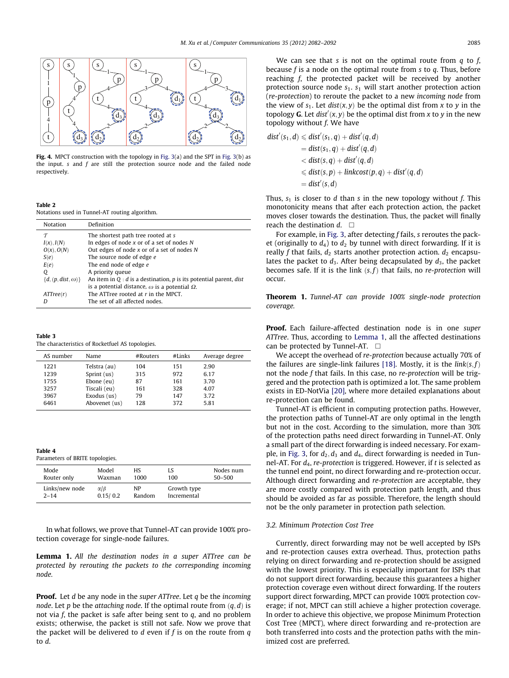<span id="page-3-0"></span>

Fig. 4. MPCT construction with the topology in [Fig. 3](#page-2-0)(a) and the SPT in [Fig. 3\(](#page-2-0)b) as the input.  $s$  and  $f$  are still the protection source node and the failed node respectively.

## Table 2

Notations used in Tunnel-AT routing algorithm.

| Notation                    | Definition                                                          |
|-----------------------------|---------------------------------------------------------------------|
| $\tau$                      | The shortest path tree rooted at s                                  |
| $I(x)$ , $I(N)$             | In edges of node $x$ or of a set of nodes $N$                       |
| $O(x)$ , $O(N)$             | Out edges of node $x$ or of a set of nodes $N$                      |
| S(e)                        | The source node of edge e                                           |
| E(e)                        | The end node of edge e                                              |
| Q                           | A priority queue                                                    |
| $\{d, (p, dist, \omega)\}\$ | An item in $Q: d$ is a destination, p is its potential parent, dist |
|                             | is a potential distance, $\omega$ is a potential $\Omega$ .         |
| ATTree(r)                   | The ATTree rooted at $r$ in the MPCT.                               |
| D                           | The set of all affected nodes.                                      |

## Table 3

The characteristics of Rocketfuel AS topologies.

| AS number | Name          | $#R$ outers | #Links | Average degree |
|-----------|---------------|-------------|--------|----------------|
| 1221      | Telstra (au)  | 104         | 151    | 2.90           |
| 1239      | Sprint $(us)$ | 315         | 972    | 6.17           |
| 1755      | Ebone (eu)    | 87          | 161    | 3.70           |
| 3257      | Tiscali (eu)  | 161         | 328    | 4.07           |
| 3967      | Exodus (us)   | 79          | 147    | 3.72           |
| 6461      | Abovenet (us) | 128         | 372    | 5.81           |

Table 4

Parameters of BRITE topologies.

| Mode           | Model       | НS     | LS          | Nodes num  |
|----------------|-------------|--------|-------------|------------|
| Router only    | Waxman      | 1000   | 100         | $50 - 500$ |
| Links/new node | $\alpha$ IB | NP.    | Growth type |            |
| $2 - 14$       | 0.15/0.2    | Random | Incremental |            |

In what follows, we prove that Tunnel-AT can provide 100% protection coverage for single-node failures.

Lemma 1. All the destination nodes in a super ATTree can be protected by rerouting the packets to the corresponding incoming node.

**Proof.** Let d be any node in the super ATTree. Let q be the incoming node. Let p be the attaching node. If the optimal route from  $(q, d)$  is not via f, the packet is safe after being sent to  $q$ , and no problem exists; otherwise, the packet is still not safe. Now we prove that the packet will be delivered to  $d$  even if  $f$  is on the route from  $q$ to d.

We can see that s is not on the optimal route from  $q$  to  $f$ . because f is a node on the optimal route from s to q. Thus, before reaching f, the protected packet will be received by another protection source node  $s_1$ .  $s_1$  will start another protection action (re-protection) to reroute the packet to a new incoming node from the view of  $s_1$ . Let dist $(x, y)$  be the optimal dist from x to y in the topology **G**. Let  $dist'(x, y)$  be the optimal dist from x to y in the new topology without  $f$ . We have

$$
dist'(s_1, d) \leq dist'(s_1, q) + dist'(q, d)
$$
  
=  $dist(s_1, q) + dist'(q, d)$   
 $< dist(s, q) + dist'(q, d)$   
 $\leq dist(s, p) + linkcost(p, q) + dist'(q, d)$   
=  $dist'(s, d)$ 

Thus,  $s_1$  is closer to d than s in the new topology without f. This monotonicity means that after each protection action, the packet moves closer towards the destination. Thus, the packet will finally reach the destination  $d. \Box$ 

For example, in [Fig. 3](#page-2-0), after detecting  $f$  fails,  $s$  reroutes the packet (originally to  $d_4$ ) to  $d_2$  by tunnel with direct forwarding. If it is really f that fails,  $d_2$  starts another protection action.  $d_2$  encapsulates the packet to  $d_3$ . After being decapsulated by  $d_3$ , the packet becomes safe. If it is the link  $(s, f)$  that fails, no re-protection will occur.

Theorem 1. Tunnel-AT can provide 100% single-node protection coverage.

Proof. Each failure-affected destination node is in one super ATTree. Thus, according to Lemma 1, all the affected destinations can be protected by Tunnel-AT.  $\Box$ 

We accept the overhead of re-protection because actually 70% of the failures are single-link failures [\[18\].](#page-10-0) Mostly, it is the  $link(s, f)$ not the node  $f$  that fails. In this case, no re-protection will be triggered and the protection path is optimized a lot. The same problem exists in ED-NotVia [\[20\],](#page-10-0) where more detailed explanations about re-protection can be found.

Tunnel-AT is efficient in computing protection paths. However, the protection paths of Tunnel-AT are only optimal in the length but not in the cost. According to the simulation, more than 30% of the protection paths need direct forwarding in Tunnel-AT. Only a small part of the direct forwarding is indeed necessary. For exam-ple, in [Fig. 3,](#page-2-0) for  $d_2$ ,  $d_3$  and  $d_4$ , direct forwarding is needed in Tunnel-AT. For  $d_4$ , re-protection is triggered. However, if t is selected as the tunnel end point, no direct forwarding and re-protection occur. Although direct forwarding and re-protection are acceptable, they are more costly compared with protection path length, and thus should be avoided as far as possible. Therefore, the length should not be the only parameter in protection path selection.

## 3.2. Minimum Protection Cost Tree

Currently, direct forwarding may not be well accepted by ISPs and re-protection causes extra overhead. Thus, protection paths relying on direct forwarding and re-protection should be assigned with the lowest priority. This is especially important for ISPs that do not support direct forwarding, because this guarantees a higher protection coverage even without direct forwarding. If the routers support direct forwarding, MPCT can provide 100% protection coverage; if not, MPCT can still achieve a higher protection coverage. In order to achieve this objective, we propose Minimum Protection Cost Tree (MPCT), where direct forwarding and re-protection are both transferred into costs and the protection paths with the minimized cost are preferred.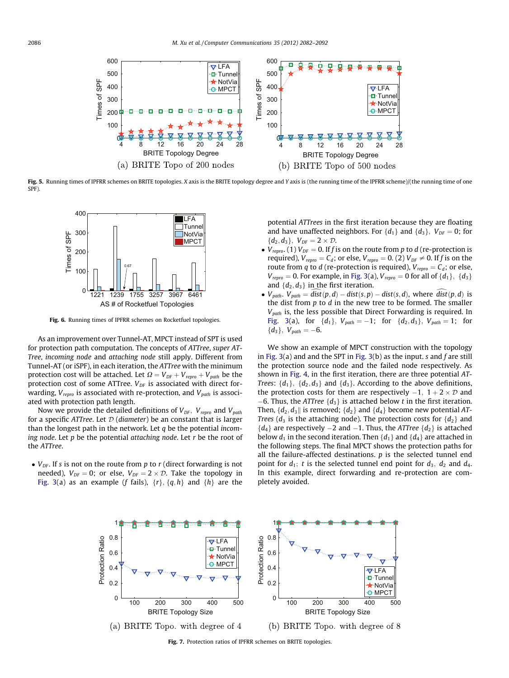<span id="page-4-0"></span>

Fig. 5. Running times of IPFRR schemes on BRITE topologies. X axis is the BRITE topology degree and Y axis is (the running time of the IPFRR scheme)/(the running time of one SPF).



Fig. 6. Running times of IPFRR schemes on Rocketfuel topologies.

As an improvement over Tunnel-AT, MPCT instead of SPT is used for protection path computation. The concepts of ATTree, super AT-Tree, incoming node and attaching node still apply. Different from Tunnel-AT (or iSPF), in each iteration, the ATTree with the minimum protection cost will be attached. Let  $\Omega = V_{DF} + V_{repro} + V_{path}$  be the protection cost of some ATTree.  $V_{DF}$  is associated with direct forwarding,  $V_{\text{rebro}}$  is associated with re-protection, and  $V_{\text{path}}$  is associated with protection path length.

Now we provide the detailed definitions of  $V_{DF}$ ,  $V_{rebro}$  and  $V_{path}$ for a specific ATTree. Let  $D$  (diameter) be an constant that is larger than the longest path in the network. Let  $q$  be the potential incoming node. Let  $p$  be the potential attaching node. Let  $r$  be the root of the ATTree.

 $\bullet$  V<sub>DF</sub>. If s is not on the route from p to r (direct forwarding is not needed),  $V_{DF} = 0$ ; or else,  $V_{DF} = 2 \times D$ . Take the topology in [Fig. 3](#page-2-0)(a) as an example (f fails),  $\{r\}$ ,  $\{q, h\}$  and  $\{h\}$  are the potential ATTrees in the first iteration because they are floating and have unaffected neighbors. For  $\{d_1\}$  and  $\{d_3\}$ ,  $V_{DF} = 0$ ; for  ${d_2, d_3}, V_{DF} = 2 \times D.$ 

- $V_{\text{repro.}}(1) V_{\text{DF}} = 0$ . If f is on the route from p to d (re-protection is required),  $V_{\text{repro}} = C_d$ ; or else,  $V_{\text{repro}} = 0$ . (2)  $V_{\text{DF}} \neq 0$ . If f is on the route from q to d (re-protection is required),  $V_{\text{repro}} = C_d$ ; or else,  $V_{\text{repro}} = 0$ . For example, in [Fig. 3](#page-2-0)(a),  $V_{\text{repro}} = 0$  for all of  $\{d_1\}$ ,  $\{d_3\}$ and  $\{d_2, d_3\}$  in the first iteration.
- $V_{path}$ .  $V_{path} = dist(p, d) dist(s, p) dist(s, d)$ , where  $dist(p, d)$  is the dist from  $p$  to  $d$  in the new tree to be formed. The smaller  $V_{path}$  is, the less possible that Direct Forwarding is required. In [Fig. 3](#page-2-0)(a), for  $\{d_1\}$ ,  $V_{path} = -1$ ; for  $\{d_2, d_3\}$ ,  $V_{path} = 1$ ; for  $\{d_3\}, V_{path} = -6.$

We show an example of MPCT construction with the topology in [Fig. 3](#page-2-0)(a) and and the SPT in Fig. 3(b) as the input. s and  $f$  are still the protection source node and the failed node respectively. As shown in [Fig. 4,](#page-3-0) in the first iteration, there are three potential AT-Trees:  $\{d_1\}$ ,  $\{d_2, d_3\}$  and  $\{d_3\}$ . According to the above definitions, the protection costs for them are respectively  $-1$ ,  $1+2 \times D$  and  $-6$ . Thus, the ATTree  $\{d_3\}$  is attached below t in the first iteration. Then,  $\{d_2, d_3\}$  is removed;  $\{d_2\}$  and  $\{d_4\}$  become new potential AT-*Trees* ( $d_3$  is the attaching node). The protection costs for  $\{d_2\}$  and  $\{d_4\}$  are respectively  $-2$  and  $-1$ . Thus, the ATTree  $\{d_2\}$  is attached below  $d_1$  in the second iteration. Then  $\{d_1\}$  and  $\{d_4\}$  are attached in the following steps. The final MPCT shows the protection paths for all the failure-affected destinations.  $p$  is the selected tunnel end point for  $d_1$ ; t is the selected tunnel end point for  $d_3$ ,  $d_2$  and  $d_4$ . In this example, direct forwarding and re-protection are completely avoided.



Fig. 7. Protection ratios of IPFRR schemes on BRITE topologies.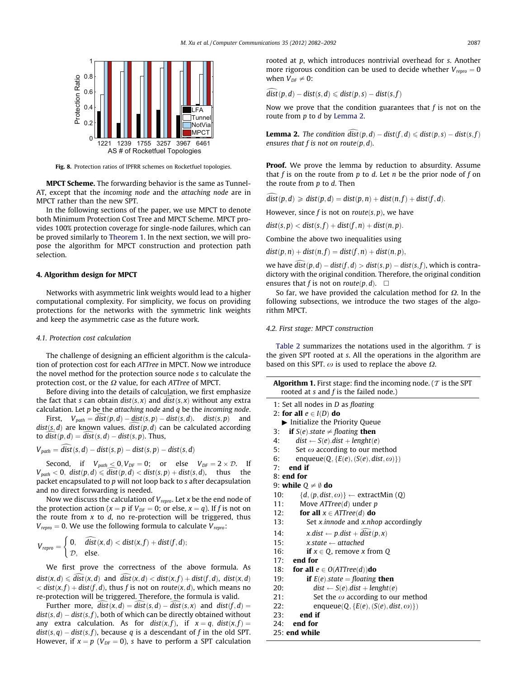<span id="page-5-0"></span>

Fig. 8. Protection ratios of IPFRR schemes on Rocketfuel topologies.

MPCT Scheme. The forwarding behavior is the same as Tunnel-AT, except that the incoming node and the attaching node are in MPCT rather than the new SPT.

In the following sections of the paper, we use MPCT to denote both Minimum Protection Cost Tree and MPCT Scheme. MPCT provides 100% protection coverage for single-node failures, which can be proved similarly to [Theorem 1](#page-3-0). In the next section, we will propose the algorithm for MPCT construction and protection path selection.

## 4. Algorithm design for MPCT

Networks with asymmetric link weights would lead to a higher computational complexity. For simplicity, we focus on providing protections for the networks with the symmetric link weights and keep the asymmetric case as the future work.

#### 4.1. Protection cost calculation

The challenge of designing an efficient algorithm is the calculation of protection cost for each ATTree in MPCT. Now we introduce the novel method for the protection source node s to calculate the protection cost, or the  $\Omega$  value, for each ATTree of MPCT.

Before diving into the details of calculation, we first emphasize the fact that s can obtain  $dist(s, x)$  and  $dist(s, x)$  without any extra calculation. Let  $p$  be the attaching node and  $q$  be the incoming node.

First,  $V_{path} = dist(p, d) - dist(s, p) - dist(s, d)$ . dist $(s, p)$  and  $dist(s, d)$  are known values.  $dist(p, d)$  can be calculated according to  $dist(p, d) = dist(s, d) - dist(s, p)$ . Thus,

$$
V_{path} = dist(s, d) - dist(s, p) - dist(s, p) - dist(s, d)
$$

Second, if  $V_{path} \le 0, V_{DF} = 0$ ; or else  $V_{DF} = 2 \times \mathcal{D}$ . If  $V_{path} < 0$ ,  $dist(p, d) \leq \widehat{dist}(p, d) < dist(s, p) + dist(s, d)$ , thus the packet encapsulated to p will not loop back to s after decapsulation and no direct forwarding is needed.

Now we discuss the calculation of  $V_{\text{repro}}$ . Let x be the end node of the protection action ( $x = p$  if  $V_{DF} = 0$ ; or else,  $x = q$ ). If f is not on the route from  $x$  to  $d$ , no re-protection will be triggered, thus  $V_{\text{repro}} = 0$ . We use the following formula to calculate  $V_{\text{repro}}$ :

$$
V_{\text{repro}} = \begin{cases} 0, & \widehat{\text{dist}}(x, d) < \text{dist}(x, f) + \text{dist}(f, d); \\ \mathcal{D}, & \text{else.} \end{cases}
$$

We first prove the correctness of the above formula. As  $dist(x, d) \leq dist(x, d)$  and  $dist(x, d) < dist(x, f) + dist(f, d)$ ,  $dist(x, d)$  $d(x, f) + dist(f, d)$ , thus f is not on route $(x, d)$ , which means no re-protection will be triggered. Therefore, the formula is valid.

Further more,  $dist(x, d) = dist(s, d) - dist(s, x)$  and  $dist(f, d) =$  $dist(s, d) - dist(s, f)$ , both of which can be directly obtained without any extra calculation. As for  $dist(x, f)$ , if  $x = q$ ,  $dist(x, f) =$  $dist(s, q) - dist(s, f)$ , because q is a descendant of f in the old SPT. However, if  $x = p$  ( $V_{DF} = 0$ ), s have to perform a SPT calculation rooted at p, which introduces nontrivial overhead for s. Another more rigorous condition can be used to decide whether  $V_{\text{rebro}} = 0$ when  $V_{DF} \neq 0$ :

 $dist(p, d) - dist(s, d) \leqslant dist(p, s) - dist(s, f)$ 

Now we prove that the condition guarantees that  $f$  is not on the route from p to d by Lemma 2.

**Lemma 2.** The condition  $dist(p, d) - dist(f, d) \leq dist(p, s) - dist(s, f)$ ensures that f is not on route $(p, d)$ .

**Proof.** We prove the lemma by reduction to absurdity. Assume that f is on the route from  $p$  to  $d$ . Let  $n$  be the prior node of f on the route from p to d. Then

 $dist(p, d) \geq dist(p, d) = dist(p, n) + dist(n, f) + dist(f, d).$ 

However, since f is not on route $(s, p)$ , we have

 $dist(s, p) < dist(s, f) + dist(f, n) + dist(n, p).$ 

Combine the above two inequalities using

 $dist(p, n) + dist(n, f) = dist(f, n) + dist(n, p),$ 

we have  $dist(p, d) - dist(f, d) > dist(s, p) - dist(s, f)$ , which is contradictory with the original condition. Therefore, the original condition ensures that f is not on  $route(p, d)$ .  $\Box$ 

So far, we have provided the calculation method for  $\Omega$ . In the following subsections, we introduce the two stages of the algorithm MPCT.

#### 4.2. First stage: MPCT construction

[Table 2](#page-3-0) summarizes the notations used in the algorithm.  $\tau$  is the given SPT rooted at s. All the operations in the algorithm are based on this SPT.  $\omega$  is used to replace the above  $\Omega$ .

| <b>Algorithm 1.</b> First stage: find the incoming node. ( $\tau$ is the SPT<br>rooted at s and f is the failed node.) |
|------------------------------------------------------------------------------------------------------------------------|
| 1: Set all nodes in $D$ as floating                                                                                    |
| 2: for all $e \in I(D)$ do                                                                                             |
| Initialize the Priority Queue                                                                                          |
| <b>if</b> $S(e)$ state $\neq$ floating <b>then</b><br>3:                                                               |
| $dist \leftarrow S(e).dist + length(e)$<br>4:                                                                          |
| 5:<br>Set $\omega$ according to our method                                                                             |
| 6:<br>enqueue(Q, { $E(e)$ , (S(e), dist, $\omega$ )})                                                                  |
| end if<br>7:                                                                                                           |
| $8:$ end for                                                                                                           |
| 9: while $Q \neq \emptyset$ do                                                                                         |
| 10:<br>$\{d, (p, dist, \omega)\}\leftarrow$ extractMin (Q)                                                             |
| 11:<br>Move $ATTree(d)$ under p                                                                                        |
| 12:<br>for all $x \in ATTree(d)$ do                                                                                    |
| Set x.innode and x.nhop accordingly<br>13:                                                                             |
| $x.dist \leftarrow p.dist + dist(p, x)$<br>14:                                                                         |
| 15:<br>x.state $\leftarrow$ attached                                                                                   |
| if $x \in Q$ , remove x from Q<br>16:                                                                                  |
| end for<br>17:                                                                                                         |
| 18:<br><b>for all</b> $e \in O(ATTree(d))$ <b>do</b>                                                                   |
| <b>if</b> $E(e)$ state = floating <b>then</b><br>19:                                                                   |
| $dist \leftarrow S(e).dist + length(e)$<br>20:                                                                         |
| Set the $\omega$ according to our method<br>21:                                                                        |
| 22:<br>enqueue(Q, { $E(e)$ , (S(e), dist, $\omega$ )})                                                                 |
| end if<br>23:                                                                                                          |
| end for<br>24:                                                                                                         |
| $25:$ end while                                                                                                        |
|                                                                                                                        |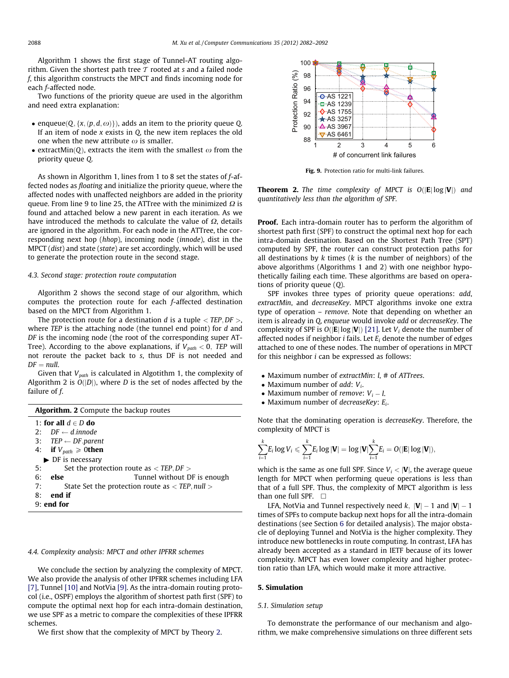Algorithm 1 shows the first stage of Tunnel-AT routing algorithm. Given the shortest path tree  $T$  rooted at s and a failed node f, this algorithm constructs the MPCT and finds incoming node for each f-affected node.

Two functions of the priority queue are used in the algorithm and need extra explanation:

- enqueue $(Q, \{x, (p, d, \omega)\})$ , adds an item to the priority queue Q. If an item of node  $x$  exists in  $Q$ , the new item replaces the old one when the new attribute  $\omega$  is smaller.
- extractMin(Q), extracts the item with the smallest  $\omega$  from the priority queue Q.

As shown in Algorithm 1, lines from 1 to 8 set the states of f-affected nodes as floating and initialize the priority queue, where the affected nodes with unaffected neighbors are added in the priority queue. From line 9 to line 25, the ATTree with the minimized  $\Omega$  is found and attached below a new parent in each iteration. As we have introduced the methods to calculate the value of  $\Omega$ , details are ignored in the algorithm. For each node in the ATTree, the corresponding next hop (hhop), incoming node (innode), dist in the MPCT (dist) and state (state) are set accordingly, which will be used to generate the protection route in the second stage.

## 4.3. Second stage: protection route computation

Algorithm 2 shows the second stage of our algorithm, which computes the protection route for each f-affected destination based on the MPCT from Algorithm 1.

The protection route for a destination d is a tuple  $\langle$  TEP, DF $\rangle$ , where TEP is the attaching node (the tunnel end point) for d and DF is the incoming node (the root of the corresponding super AT-Tree). According to the above explanations, if  $V_{path} < 0$ , TEP will not reroute the packet back to s, thus DF is not needed and  $DF = null$ .

Given that  $V_{path}$  is calculated in Algotithm 1, the complexity of Algorithm 2 is  $O(|D|)$ , where D is the set of nodes affected by the failure of f.

| <b>Algorithm. 2</b> Compute the backup routes                         |  |  |  |  |
|-----------------------------------------------------------------------|--|--|--|--|
| 1: for all $d \in D$ do                                               |  |  |  |  |
| 2: $DF \leftarrow d$ innode                                           |  |  |  |  |
| 3: $\text{TEP} \leftarrow \text{DF}$ parent                           |  |  |  |  |
| 4: if $V_{path} \geq 0$ then                                          |  |  |  |  |
| $\triangleright$ DF is necessary                                      |  |  |  |  |
| Set the protection route as $\langle$ TEP, DF $>$<br>5:               |  |  |  |  |
| Tunnel without DF is enough<br>6:<br>else                             |  |  |  |  |
| State Set the protection route as $\langle$ TEP, null $\rangle$<br>7: |  |  |  |  |
| end if<br>8:                                                          |  |  |  |  |
| $9:$ end for                                                          |  |  |  |  |

# 4.4. Complexity analysis: MPCT and other IPFRR schemes

We conclude the section by analyzing the complexity of MPCT. We also provide the analysis of other IPFRR schemes including LFA [\[7\]](#page-10-0), Tunnel [\[10\]](#page-10-0) and NotVia [\[9\]](#page-10-0). As the intra-domain routing protocol (i.e., OSPF) employs the algorithm of shortest path first (SPF) to compute the optimal next hop for each intra-domain destination, we use SPF as a metric to compare the complexities of these IPFRR schemes.

We first show that the complexity of MPCT by Theory 2.



Fig. 9. Protection ratio for multi-link failures.

**Theorem 2.** The time complexity of MPCT is  $O(|E|\log |\mathbf{V}|)$  and quantitatively less than the algorithm of SPF.

Proof. Each intra-domain router has to perform the algorithm of shortest path first (SPF) to construct the optimal next hop for each intra-domain destination. Based on the Shortest Path Tree (SPT) computed by SPF, the router can construct protection paths for all destinations by  $k$  times ( $k$  is the number of neighbors) of the above algorithms (Algorithms 1 and 2) with one neighbor hypothetically failing each time. These algorithms are based on operations of priority queue (Q).

SPF invokes three types of priority queue operations: add, extractMin, and decreaseKey. MPCT algorithms invoke one extra type of operation – remove. Note that depending on whether an item is already in Q, enqueue would invoke add or decreaseKey. The complexity of SPF is  $O(|E|\log |\mathbf{V}|)$  [\[21\].](#page-10-0) Let  $V_i$  denote the number of affected nodes if neighbor *i* fails. Let  $E_i$  denote the number of edges attached to one of these nodes. The number of operations in MPCT for this neighbor i can be expressed as follows:

- Maximum number of extractMin: l, # of ATTrees.
- Maximum number of  $add: V_i$ .
- Maximum number of remove:  $V_i l$ .
- Maximum number of decreaseKey:  $E_i$ .

Note that the dominating operation is decreaseKey. Therefore, the complexity of MPCT is

$$
\sum_{i=1}^k E_i \log V_i \leqslant \sum_{i=1}^k E_i \log |\mathbf{V}| = \log |\mathbf{V}| \sum_{i=1}^k E_i = O(|\mathbf{E}| \log |\mathbf{V}|),
$$

which is the same as one full SPF. Since  $V_i < |V|$ , the average queue length for MPCT when performing queue operations is less than that of a full SPF. Thus, the complexity of MPCT algorithm is less than one full SPF.  $\Box$ 

LFA, NotVia and Tunnel respectively need k,  $|V| - 1$  and  $|V| - 1$ times of SPFs to compute backup next hops for all the intra-domain destinations (see Section [6](#page-8-0) for detailed analysis). The major obstacle of deploying Tunnel and NotVia is the higher complexity. They introduce new bottlenecks in route computing. In contrast, LFA has already been accepted as a standard in IETF because of its lower complexity. MPCT has even lower complexity and higher protection ratio than LFA, which would make it more attractive.

## 5. Simulation

## 5.1. Simulation setup

To demonstrate the performance of our mechanism and algorithm, we make comprehensive simulations on three different sets

<span id="page-6-0"></span>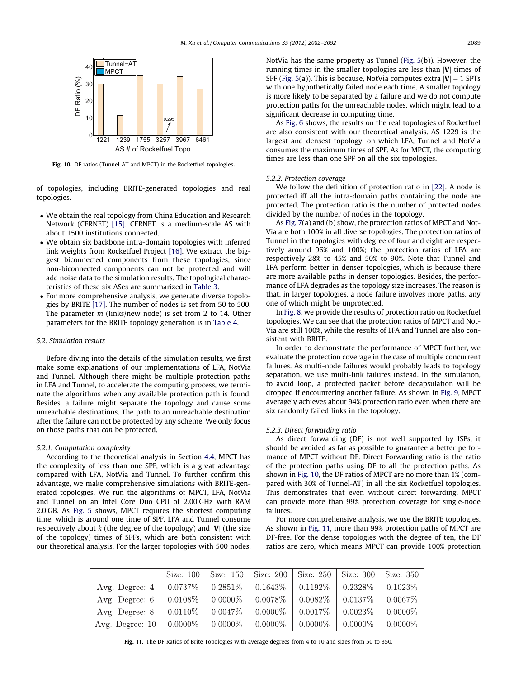

Fig. 10. DF ratios (Tunnel-AT and MPCT) in the Rocketfuel topologies.

of topologies, including BRITE-generated topologies and real topologies.

- We obtain the real topology from China Education and Research Network (CERNET) [\[15\]](#page-10-0). CERNET is a medium-scale AS with about 1500 institutions connected.
- We obtain six backbone intra-domain topologies with inferred link weights from Rocketfuel Project [\[16\]](#page-10-0). We extract the biggest biconnected components from these topologies, since non-biconnected components can not be protected and will add noise data to the simulation results. The topological characteristics of these six ASes are summarized in [Table 3.](#page-3-0)
- For more comprehensive analysis, we generate diverse topologies by BRITE [\[17\]](#page-10-0). The number of nodes is set from 50 to 500. The parameter m (links/new node) is set from 2 to 14. Other parameters for the BRITE topology generation is in [Table 4.](#page-3-0)

## 5.2. Simulation results

Before diving into the details of the simulation results, we first make some explanations of our implementations of LFA, NotVia and Tunnel. Although there might be multiple protection paths in LFA and Tunnel, to accelerate the computing process, we terminate the algorithms when any available protection path is found. Besides, a failure might separate the topology and cause some unreachable destinations. The path to an unreachable destination after the failure can not be protected by any scheme. We only focus on those paths that can be protected.

#### 5.2.1. Computation complexity

According to the theoretical analysis in Section [4.4,](#page-6-0) MPCT has the complexity of less than one SPF, which is a great advantage compared with LFA, NotVia and Tunnel. To further confirm this advantage, we make comprehensive simulations with BRITE-generated topologies. We run the algorithms of MPCT, LFA, NotVia and Tunnel on an Intel Core Duo CPU of 2.00 GHz with RAM 2.0 GB. As [Fig. 5](#page-4-0) shows, MPCT requires the shortest computing time, which is around one time of SPF. LFA and Tunnel consume respectively about  $k$  (the degree of the topology) and  $|V|$  (the size of the topology) times of SPFs, which are both consistent with our theoretical analysis. For the larger topologies with 500 nodes,

NotVia has the same property as Tunnel [\(Fig. 5\(](#page-4-0)b)). However, the running times in the smaller topologies are less than  $|V|$  times of SPF [\(Fig. 5](#page-4-0)(a)). This is because, NotVia computes extra  $|{\bm{V}}|-1$  SPTs with one hypothetically failed node each time. A smaller topology is more likely to be separated by a failure and we do not compute protection paths for the unreachable nodes, which might lead to a significant decrease in computing time.

As [Fig. 6](#page-4-0) shows, the results on the real topologies of Rocketfuel are also consistent with our theoretical analysis. AS 1229 is the largest and densest topology, on which LFA, Tunnel and NotVia consumes the maximum times of SPF. As for MPCT, the computing times are less than one SPF on all the six topologies.

## 5.2.2. Protection coverage

We follow the definition of protection ratio in [\[22\].](#page-10-0) A node is protected iff all the intra-domain paths containing the node are protected. The protection ratio is the number of protected nodes divided by the number of nodes in the topology.

As [Fig. 7\(](#page-4-0)a) and (b) show, the protection ratios of MPCT and Not-Via are both 100% in all diverse topologies. The protection ratios of Tunnel in the topologies with degree of four and eight are respectively around 96% and 100%; the protection ratios of LFA are respectively 28% to 45% and 50% to 90%. Note that Tunnel and LFA perform better in denser topologies, which is because there are more available paths in denser topologies. Besides, the performance of LFA degrades as the topology size increases. The reason is that, in larger topologies, a node failure involves more paths, any one of which might be unprotected.

In [Fig. 8](#page-5-0), we provide the results of protection ratio on Rocketfuel topologies. We can see that the protection ratios of MPCT and Not-Via are still 100%, while the results of LFA and Tunnel are also consistent with BRITE.

In order to demonstrate the performance of MPCT further, we evaluate the protection coverage in the case of multiple concurrent failures. As multi-node failures would probably leads to topology separation, we use multi-link failures instead. In the simulation, to avoid loop, a protected packet before decapsulation will be dropped if encountering another failure. As shown in [Fig. 9](#page-6-0), MPCT averagely achieves about 94% protection ratio even when there are six randomly failed links in the topology.

## 5.2.3. Direct forwarding ratio

As direct forwarding (DF) is not well supported by ISPs, it should be avoided as far as possible to guarantee a better performance of MPCT without DF. Direct Forwarding ratio is the ratio of the protection paths using DF to all the protection paths. As shown in Fig. 10, the DF ratios of MPCT are no more than 1% (compared with 30% of Tunnel-AT) in all the six Rocketfuel topologies. This demonstrates that even without direct forwarding, MPCT can provide more than 99% protection coverage for single-node failures.

For more comprehensive analysis, we use the BRITE topologies. As shown in Fig. 11, more than 99% protection paths of MPCT are DF-free. For the dense topologies with the degree of ten, the DF ratios are zero, which means MPCT can provide 100% protection

|                       | Size: $100$                                                                                 | Size: $150$                              | Size: 200  | $\vert$ Size: 250 $\vert$ | Size: 300  | Size: 350  |
|-----------------------|---------------------------------------------------------------------------------------------|------------------------------------------|------------|---------------------------|------------|------------|
| Avg. Degree: $4 \mid$ | $\begin{array}{ c c c c c c c c } \hline 0.0737\% & 0.2851\% & 0.1643\% \hline \end{array}$ |                                          |            | $0.1192\%$                | $0.2328\%$ | $0.1023\%$ |
| Avg. Degree: $6 \mid$ | $0.0108\%$                                                                                  | $\begin{array}{ c} 0.0000\% \end{array}$ | $0.0078\%$ | $0.0082\%$                | $0.0137\%$ | $0.0067\%$ |
| Avg. Degree: $8 \mid$ |                                                                                             | $0.0110\%$   $0.0047\%$                  | $0.0000\%$ | 0.0017%                   | $0.0023\%$ | $0.0000\%$ |
| Avg. Degree: $10$     | $\pm 0.0000\% \pm 0.0000\%$                                                                 |                                          | $0.0000\%$ | $0.0000\%$                | $0.0000\%$ | $0.0000\%$ |

Fig. 11. The DF Ratios of Brite Topologies with average degrees from 4 to 10 and sizes from 50 to 350.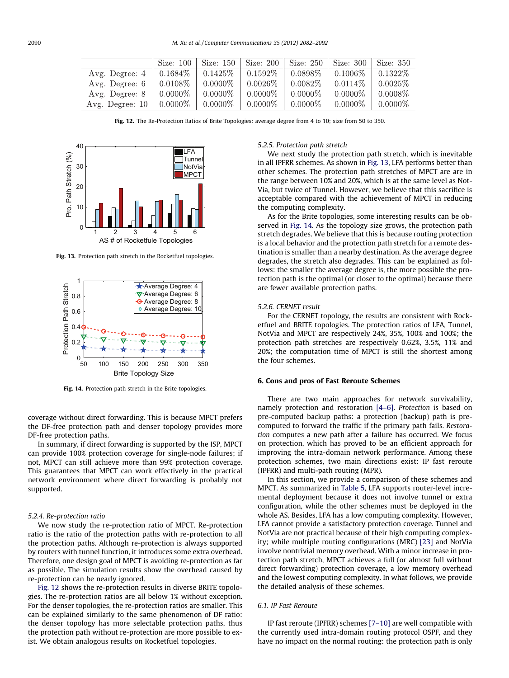<span id="page-8-0"></span>

|                        | Size: 100  |            |            |            | Size: 150   Size: 200   Size: 250   Size: 300   Size: 350 |            |
|------------------------|------------|------------|------------|------------|-----------------------------------------------------------|------------|
| Avg. Degree: 4         | $0.1684\%$ | $0.1425\%$ | $0.1592\%$ | 0.0898\%   | $0.1006\%$                                                | $0.1322\%$ |
| Avg. Degree: 6         | $0.0108\%$ | $0.0000\%$ | $0.0026\%$ | $0.0082\%$ | $0.0114\%$                                                | 0.0025%    |
| Avg. Degree: 8         | $0.0000\%$ | $0.0000\%$ | $0.0000\%$ | $0.0000\%$ | $0.0000\%$                                                | $0.0008\%$ |
| Avg. Degree: $10 \mid$ | $0.0000\%$ | $0.0000\%$ | $0.0000\%$ | $0.0000\%$ | $0.0000\%$                                                | $0.0000\%$ |

Fig. 12. The Re-Protection Ratios of Brite Topologies: average degree from 4 to 10; size from 50 to 350.



Fig. 13. Protection path stretch in the Rocketfuel topologies.



Fig. 14. Protection path stretch in the Brite topologies.

coverage without direct forwarding. This is because MPCT prefers the DF-free protection path and denser topology provides more DF-free protection paths.

In summary, if direct forwarding is supported by the ISP, MPCT can provide 100% protection coverage for single-node failures; if not, MPCT can still achieve more than 99% protection coverage. This guarantees that MPCT can work effectively in the practical network environment where direct forwarding is probably not supported.

#### 5.2.4. Re-protection ratio

We now study the re-protection ratio of MPCT. Re-protection ratio is the ratio of the protection paths with re-protection to all the protection paths. Although re-protection is always supported by routers with tunnel function, it introduces some extra overhead. Therefore, one design goal of MPCT is avoiding re-protection as far as possible. The simulation results show the overhead caused by re-protection can be nearly ignored.

Fig. 12 shows the re-protection results in diverse BRITE topologies. The re-protection ratios are all below 1% without exception. For the denser topologies, the re-protection ratios are smaller. This can be explained similarly to the same phenomenon of DF ratio: the denser topology has more selectable protection paths, thus the protection path without re-protection are more possible to exist. We obtain analogous results on Rocketfuel topologies.

## 5.2.5. Protection path stretch

We next study the protection path stretch, which is inevitable in all IPFRR schemes. As shown in Fig. 13, LFA performs better than other schemes. The protection path stretches of MPCT are are in the range between 10% and 20%, which is at the same level as Not-Via, but twice of Tunnel. However, we believe that this sacrifice is acceptable compared with the achievement of MPCT in reducing the computing complexity.

As for the Brite topologies, some interesting results can be observed in Fig. 14. As the topology size grows, the protection path stretch degrades. We believe that this is because routing protection is a local behavior and the protection path stretch for a remote destination is smaller than a nearby destination. As the average degree degrades, the stretch also degrades. This can be explained as follows: the smaller the average degree is, the more possible the protection path is the optimal (or closer to the optimal) because there are fewer available protection paths.

### 5.2.6. CERNET result

For the CERNET topology, the results are consistent with Rocketfuel and BRITE topologies. The protection ratios of LFA, Tunnel, NotVia and MPCT are respectively 24%, 35%, 100% and 100%; the protection path stretches are respectively 0.62%, 3.5%, 11% and 20%; the computation time of MPCT is still the shortest among the four schemes.

## 6. Cons and pros of Fast Reroute Schemes

There are two main approaches for network survivability, namely protection and restoration [\[4–6\].](#page-9-0) Protection is based on pre-computed backup paths: a protection (backup) path is precomputed to forward the traffic if the primary path fails. Restoration computes a new path after a failure has occurred. We focus on protection, which has proved to be an efficient approach for improving the intra-domain network performance. Among these protection schemes, two main directions exist: IP fast reroute (IPFRR) and multi-path routing (MPR).

In this section, we provide a comparison of these schemes and MPCT. As summarized in [Table 5](#page-9-0), LFA supports router-level incremental deployment because it does not involve tunnel or extra configuration, while the other schemes must be deployed in the whole AS. Besides, LFA has a low computing complexity. However, LFA cannot provide a satisfactory protection coverage. Tunnel and NotVia are not practical because of their high computing complexity; while multiple routing configurations (MRC) [\[23\]](#page-10-0) and NotVia involve nontrivial memory overhead. With a minor increase in protection path stretch, MPCT achieves a full (or almost full without direct forwarding) protection coverage, a low memory overhead and the lowest computing complexity. In what follows, we provide the detailed analysis of these schemes.

## 6.1. IP Fast Reroute

IP fast reroute (IPFRR) schemes [\[7–10\]](#page-10-0) are well compatible with the currently used intra-domain routing protocol OSPF, and they have no impact on the normal routing: the protection path is only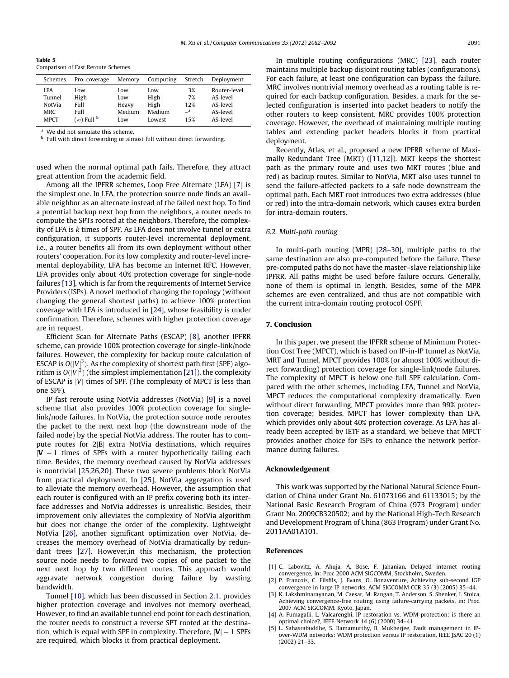<span id="page-9-0"></span>Table 5 Comparison of Fast Reroute Schemes.

| Schemes     | Pro. coverage               | Memory | Computing | Stretch      | Deployment   |
|-------------|-----------------------------|--------|-----------|--------------|--------------|
| LFA         | Low                         | Low    | Low       | 3%           | Router-level |
| Tunnel      | High                        | Low    | High      | 7%           | AS-level     |
| NotVia      | Full                        | Heavy  | High      | 12%          | AS-level     |
| <b>MRC</b>  | Full                        | Medium | Medium    | $\mathbf{a}$ | AS-level     |
| <b>MPCT</b> | $(\approx)$ Full $^{\rm b}$ | Low    | Lowest    | 15%          | AS-level     |

We did not simulate this scheme.

<sup>b</sup> Full with direct forwarding or almost full without direct forwarding.

used when the normal optimal path fails. Therefore, they attract great attention from the academic field.

Among all the IPFRR schemes, Loop Free Alternate (LFA) [\[7\]](#page-10-0) is the simplest one. In LFA, the protection source node finds an available neighbor as an alternate instead of the failed next hop. To find a potential backup next hop from the neighbors, a router needs to compute the SPTs rooted at the neighbors, Therefore, the complexity of LFA is k times of SPF. As LFA does not involve tunnel or extra configuration, it supports router-level incremental deployment, i.e., a router benefits all from its own deployment without other routers' cooperation. For its low complexity and router-level incremental deployability, LFA has become an Internet RFC. However, LFA provides only about 40% protection coverage for single-node failures [\[13\]](#page-10-0), which is far from the requirements of Internet Service Providers (ISPs). A novel method of changing the topology (without changing the general shortest paths) to achieve 100% protection coverage with LFA is introduced in [\[24\],](#page-10-0) whose feasibility is under confirmation. Therefore, schemes with higher protection coverage are in request.

Efficient Scan for Alternate Paths (ESCAP) [\[8\]](#page-10-0), another IPFRR scheme, can provide 100% protection coverage for single-link/node failures. However, the complexity for backup route calculation of ESCAP is  $O(|V|^3)$ . As the complexity of shortest path first (SPF) algorithm is  $O(\left|V\right|^2)$  (the simplest implementation [\[21\]](#page-10-0)), the complexity of ESCAP is  $|V|$  times of SPF. (The complexity of MPCT is less than one SPF).

IP fast reroute using NotVia addresses (NotVia) [\[9\]](#page-10-0) is a novel scheme that also provides 100% protection coverage for singlelink/node failures. In NotVia, the protection source node reroutes the packet to the next next hop (the downstream node of the failed node) by the special NotVia address. The router has to compute routes for  $2|E|$  extra NotVia destinations, which requires  $|{\bf V}|-1$  times of SPFs with a router hypothetically failing each time. Besides, the memory overhead caused by NotVia addresses is nontrivial [\[25,26,20\]](#page-10-0). These two severe problems block NotVia from practical deployment. In [\[25\],](#page-10-0) NotVia aggregation is used to alleviate the memory overhead. However, the assumption that each router is configured with an IP prefix covering both its interface addresses and NotVia addresses is unrealistic. Besides, their improvement only alleviates the complexity of NotVia algorithm but does not change the order of the complexity. Lightweight NotVia [\[26\],](#page-10-0) another significant optimization over NotVia, decreases the memory overhead of NotVia dramatically by redundant trees [\[27\]](#page-10-0). However,in this mechanism, the protection source node needs to forward two copies of one packet to the next next hop by two different routes. This approach would aggravate network congestion during failure by wasting bandwidth.

Tunnel [\[10\]](#page-10-0), which has been discussed in Section [2.1,](#page-1-0) provides higher protection coverage and involves not memory overhead, However, to find an available tunnel end point for each destination, the router needs to construct a reverse SPT rooted at the destination, which is equal with SPF in complexity. Therefore,  $|{\bm {\mathsf V}}|-1$  SPFs are required, which blocks it from practical deployment.

In multiple routing configurations (MRC) [\[23\],](#page-10-0) each router maintains multiple backup disjoint routing tables (configurations). For each failure, at least one configuration can bypass the failure. MRC involves nontrivial memory overhead as a routing table is required for each backup configuration. Besides, a mark for the selected configuration is inserted into packet headers to notify the other routers to keep consistent. MRC provides 100% protection coverage. However, the overhead of maintaining multiple routing tables and extending packet headers blocks it from practical deployment.

Recently, Atlas, et al., proposed a new IPFRR scheme of Maximally Redundant Tree (MRT) ([\[11,12\]\)](#page-10-0). MRT keeps the shortest path as the primary route and uses two MRT routes (blue and red) as backup routes. Similar to NotVia, MRT also uses tunnel to send the failure-affected packets to a safe node downstream the optimal path. Each MRT root introduces two extra addresses (blue or red) into the intra-domain network, which causes extra burden for intra-domain routers.

## 6.2. Multi-path routing

In multi-path routing (MPR) [\[28–30\]](#page-10-0), multiple paths to the same destination are also pre-computed before the failure. These pre-computed paths do not have the master–slave relationship like IPFRR. All paths might be used before failure occurs. Generally, none of them is optimal in length. Besides, some of the MPR schemes are even centralized, and thus are not compatible with the current intra-domain routing protocol OSPF.

#### 7. Conclusion

In this paper, we present the IPFRR scheme of Minimum Protection Cost Tree (MPCT), which is based on IP-in-IP tunnel as NotVia, MRT and Tunnel. MPCT provides 100% (or almost 100% without direct forwarding) protection coverage for single-link/node failures. The complexity of MPCT is below one full SPF calculation. Compared with the other schemes, including LFA, Tunnel and NotVia, MPCT reduces the computational complexity dramatically. Even without direct forwarding, MPCT provides more than 99% protection coverage; besides, MPCT has lower complexity than LFA, which provides only about 40% protection coverage. As LFA has already been accepted by IETF as a standard, we believe that MPCT provides another choice for ISPs to enhance the network performance during failures.

#### Acknowledgement

This work was supported by the National Natural Science Foundation of China under Grant No. 61073166 and 61133015; by the National Basic Research Program of China (973 Program) under Grant No. 2009CB320502; and by the National High-Tech Research and Development Program of China (863 Program) under Grant No. 2011AA01A101.

## References

- [1] C. Labovitz, A. Ahuja, A. Bose, F. Jahanian, Delayed internet routing convergence, in: Proc 2000 ACM SIGCOMM, Stockholm, Sweden.
- [2] P. Francois, C. Filsfils, J. Evans, O. Bonaventure, Achieving sub-second IGP convergence in large IP networks, ACM SIGCOMM CCR 35 (3) (2005) 35–44.
- [3] K. Lakshminarayanan, M. Caesar, M. Rangan, T. Anderson, S. Shenker, I. Stoica, Achieving convergence-free routing using failure-carrying packets, in: Proc. 2007 ACM SIGCOMM, Kyoto, Japan.
- [4] A. Fumagalli, L. Valcarenghi, IP restoration vs. WDM protection: is there an optimal choice?, IEEE Network 14 (6) (2000) 34–41
- [5] L. Sahasrabuddhe, S. Ramamurthy, B. Mukherjee, Fault management in IPover-WDM networks: WDM protection versus IP restoration, IEEE JSAC 20 (1) (2002) 21–33.